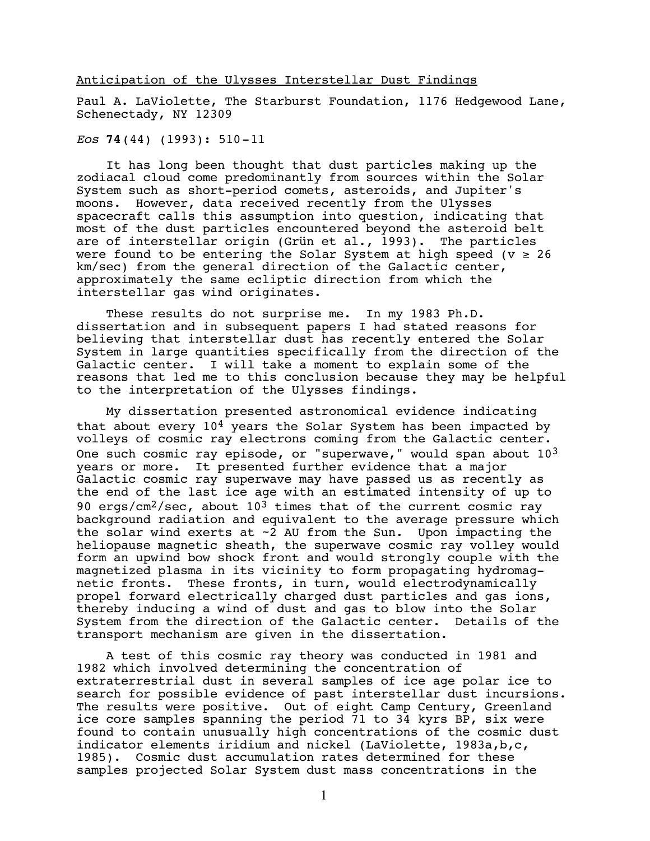## Anticipation of the Ulysses Interstellar Dust Findings

Paul A. LaViolette, The Starburst Foundation, 1176 Hedgewood Lane, Schenectady, NY 12309

## *Eos* **74**(44) (1993): 510-11

It has long been thought that dust particles making up the zodiacal cloud come predominantly from sources within the Solar System such as short-period comets, asteroids, and Jupiter's moons. However, data received recently from the Ulysses spacecraft calls this assumption into question, indicating that most of the dust particles encountered beyond the asteroid belt are of interstellar origin (Grün et al., 1993). The particles were found to be entering the Solar System at high speed ( $v \ge 26$ km/sec) from the general direction of the Galactic center, approximately the same ecliptic direction from which the interstellar gas wind originates.

These results do not surprise me. In my 1983 Ph.D. dissertation and in subsequent papers I had stated reasons for believing that interstellar dust has recently entered the Solar System in large quantities specifically from the direction of the Galactic center. I will take a moment to explain some of the reasons that led me to this conclusion because they may be helpful to the interpretation of the Ulysses findings.

My dissertation presented astronomical evidence indicating that about every  $10^4$  years the Solar System has been impacted by volleys of cosmic ray electrons coming from the Galactic center. One such cosmic ray episode, or "superwave," would span about  $10^3$ years or more. It presented further evidence that a major Galactic cosmic ray superwave may have passed us as recently as the end of the last ice age with an estimated intensity of up to 90 ergs/cm<sup>2</sup>/sec, about 10<sup>3</sup> times that of the current cosmic ray background radiation and equivalent to the average pressure which the solar wind exerts at  $\sim$ 2 AU from the Sun. Upon impacting the heliopause magnetic sheath, the superwave cosmic ray volley would form an upwind bow shock front and would strongly couple with the magnetized plasma in its vicinity to form propagating hydromagnetic fronts. These fronts, in turn, would electrodynamically propel forward electrically charged dust particles and gas ions, thereby inducing a wind of dust and gas to blow into the Solar System from the direction of the Galactic center. Details of the transport mechanism are given in the dissertation.

A test of this cosmic ray theory was conducted in 1981 and 1982 which involved determining the concentration of extraterrestrial dust in several samples of ice age polar ice to search for possible evidence of past interstellar dust incursions. The results were positive. Out of eight Camp Century, Greenland ice core samples spanning the period 71 to 34 kyrs BP, six were found to contain unusually high concentrations of the cosmic dust indicator elements iridium and nickel (LaViolette, 1983a,b,c, 1985). Cosmic dust accumulation rates determined for these samples projected Solar System dust mass concentrations in the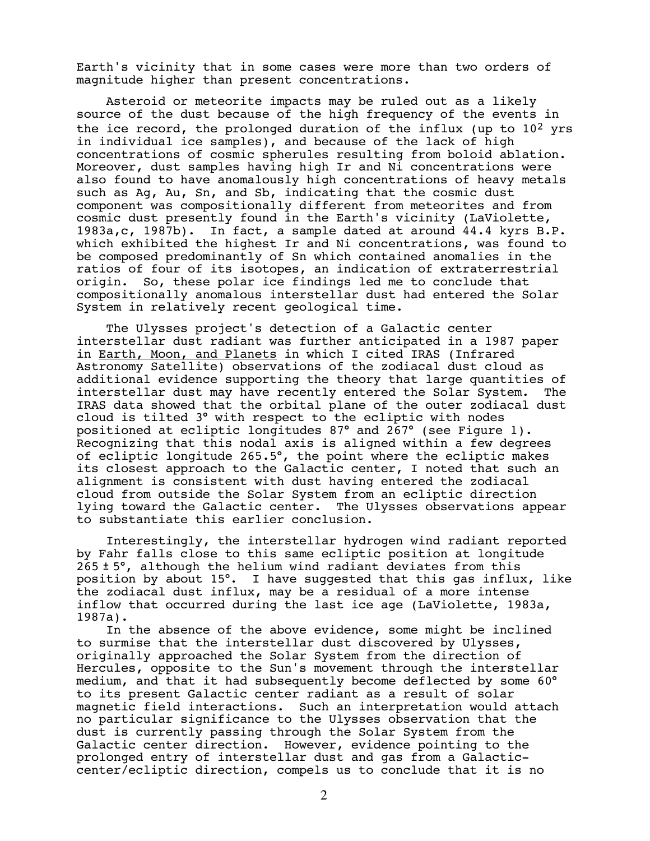Earth's vicinity that in some cases were more than two orders of magnitude higher than present concentrations.

Asteroid or meteorite impacts may be ruled out as a likely source of the dust because of the high frequency of the events in the ice record, the prolonged duration of the influx (up to  $10^2$  yrs in individual ice samples), and because of the lack of high concentrations of cosmic spherules resulting from boloid ablation. Moreover, dust samples having high Ir and Ni concentrations were also found to have anomalously high concentrations of heavy metals such as Ag, Au, Sn, and Sb, indicating that the cosmic dust component was compositionally different from meteorites and from cosmic dust presently found in the Earth's vicinity (LaViolette, 1983a,c, 1987b). In fact, a sample dated at around 44.4 kyrs B.P. which exhibited the highest Ir and Ni concentrations, was found to be composed predominantly of Sn which contained anomalies in the ratios of four of its isotopes, an indication of extraterrestrial origin. So, these polar ice findings led me to conclude that compositionally anomalous interstellar dust had entered the Solar System in relatively recent geological time.

The Ulysses project's detection of a Galactic center interstellar dust radiant was further anticipated in a 1987 paper in Earth, Moon, and Planets in which I cited IRAS (Infrared Astronomy Satellite) observations of the zodiacal dust cloud as additional evidence supporting the theory that large quantities of interstellar dust may have recently entered the Solar System. The IRAS data showed that the orbital plane of the outer zodiacal dust cloud is tilted 3° with respect to the ecliptic with nodes positioned at ecliptic longitudes 87° and 267° (see Figure 1). Recognizing that this nodal axis is aligned within a few degrees of ecliptic longitude 265.5°, the point where the ecliptic makes its closest approach to the Galactic center, I noted that such an alignment is consistent with dust having entered the zodiacal cloud from outside the Solar System from an ecliptic direction lying toward the Galactic center. The Ulysses observations appear to substantiate this earlier conclusion.

Interestingly, the interstellar hydrogen wind radiant reported by Fahr falls close to this same ecliptic position at longitude 265 ± 5°, although the helium wind radiant deviates from this position by about 15°. I have suggested that this gas influx, like the zodiacal dust influx, may be a residual of a more intense inflow that occurred during the last ice age (LaViolette, 1983a, 1987a).

In the absence of the above evidence, some might be inclined to surmise that the interstellar dust discovered by Ulysses, originally approached the Solar System from the direction of Hercules, opposite to the Sun's movement through the interstellar medium, and that it had subsequently become deflected by some 60° to its present Galactic center radiant as a result of solar magnetic field interactions. Such an interpretation would attach no particular significance to the Ulysses observation that the dust is currently passing through the Solar System from the Galactic center direction. However, evidence pointing to the prolonged entry of interstellar dust and gas from a Galacticcenter/ecliptic direction, compels us to conclude that it is no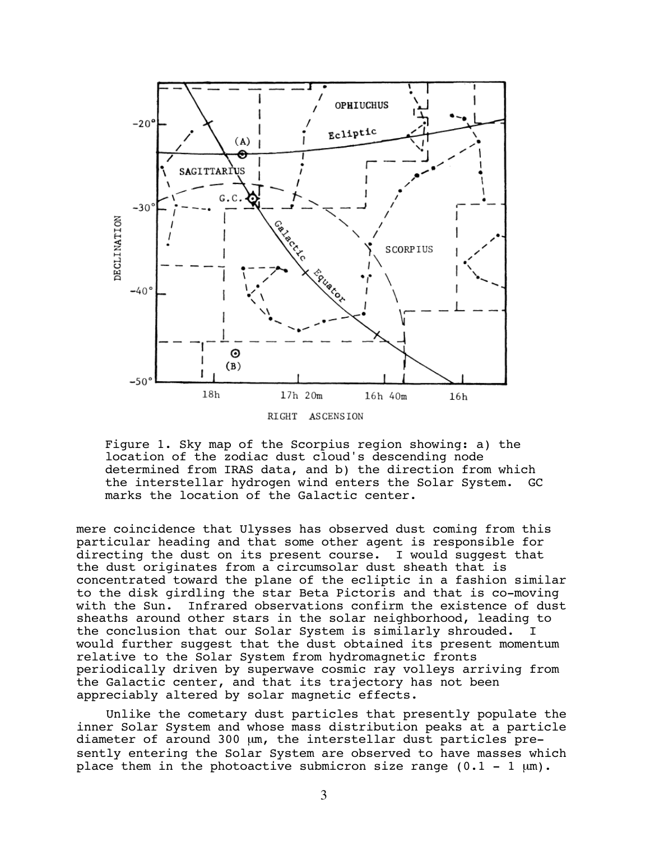

Figure 1. Sky map of the Scorpius region showing: a) the location of the zodiac dust cloud's descending node determined from IRAS data, and b) the direction from which the interstellar hydrogen wind enters the Solar System. GC marks the location of the Galactic center.

mere coincidence that Ulysses has observed dust coming from this particular heading and that some other agent is responsible for directing the dust on its present course. I would suggest that the dust originates from a circumsolar dust sheath that is concentrated toward the plane of the ecliptic in a fashion similar to the disk girdling the star Beta Pictoris and that is co-moving with the Sun. Infrared observations confirm the existence of dust sheaths around other stars in the solar neighborhood, leading to the conclusion that our Solar System is similarly shrouded. I would further suggest that the dust obtained its present momentum relative to the Solar System from hydromagnetic fronts periodically driven by superwave cosmic ray volleys arriving from the Galactic center, and that its trajectory has not been appreciably altered by solar magnetic effects.

Unlike the cometary dust particles that presently populate the inner Solar System and whose mass distribution peaks at a particle diameter of around 300 µm, the interstellar dust particles presently entering the Solar System are observed to have masses which place them in the photoactive submicron size range  $(0.1 - 1 \mu m)$ .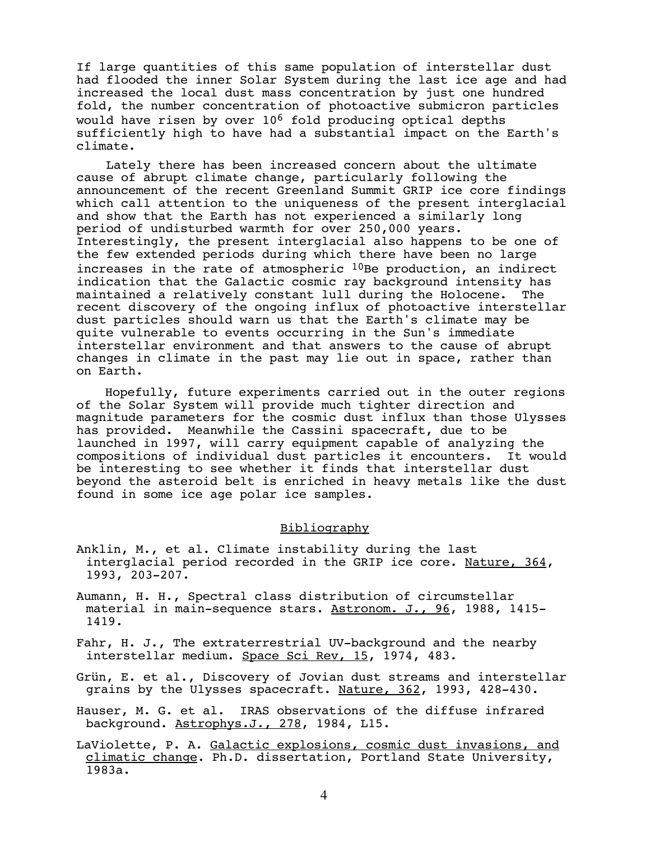If large quantities of this same population of interstellar dust had flooded the inner Solar System during the last ice age and had increased the local dust mass concentration by just one hundred fold, the number concentration of photoactive submicron particles would have risen by over  $10^6$  fold producing optical depths sufficiently high to have had a substantial impact on the Earth's climate.

Lately there has been increased concern about the ultimate cause of abrupt climate change, particularly following the announcement of the recent Greenland Summit GRIP ice core findings which call attention to the uniqueness of the present interglacial and show that the Earth has not experienced a similarly long period of undisturbed warmth for over 250,000 years. Interestingly, the present interglacial also happens to be one of the few extended periods during which there have been no large increases in the rate of atmospheric  $10$ Be production, an indirect indication that the Galactic cosmic ray background intensity has maintained a relatively constant lull during the Holocene. The recent discovery of the ongoing influx of photoactive interstellar dust particles should warn us that the Earth's climate may be quite vulnerable to events occurring in the Sun's immediate interstellar environment and that answers to the cause of abrupt changes in climate in the past may lie out in space, rather than on Earth.

Hopefully, future experiments carried out in the outer regions of the Solar System will provide much tighter direction and magnitude parameters for the cosmic dust influx than those Ulysses has provided. Meanwhile the Cassini spacecraft, due to be launched in 1997, will carry equipment capable of analyzing the compositions of individual dust particles it encounters. It would be interesting to see whether it finds that interstellar dust beyond the asteroid belt is enriched in heavy metals like the dust found in some ice age polar ice samples.

## Bibliography

- Anklin, M., et al. Climate instability during the last interglacial period recorded in the GRIP ice core. Nature, 364, 1993, 203-207.
- Aumann, H. H., Spectral class distribution of circumstellar material in main-sequence stars. Astronom. J., 96, 1988, 1415- 1419.
- Fahr, H. J., The extraterrestrial UV-background and the nearby interstellar medium. Space Sci Rev, 15, 1974, 483.
- Grün, E. et al., Discovery of Jovian dust streams and interstellar grains by the Ulysses spacecraft. Nature, 362, 1993, 428-430.
- Hauser, M. G. et al. IRAS observations of the diffuse infrared background. Astrophys.J., 278, 1984, L15.
- LaViolette, P. A. Galactic explosions, cosmic dust invasions, and climatic change. Ph.D. dissertation, Portland State University, 1983a.